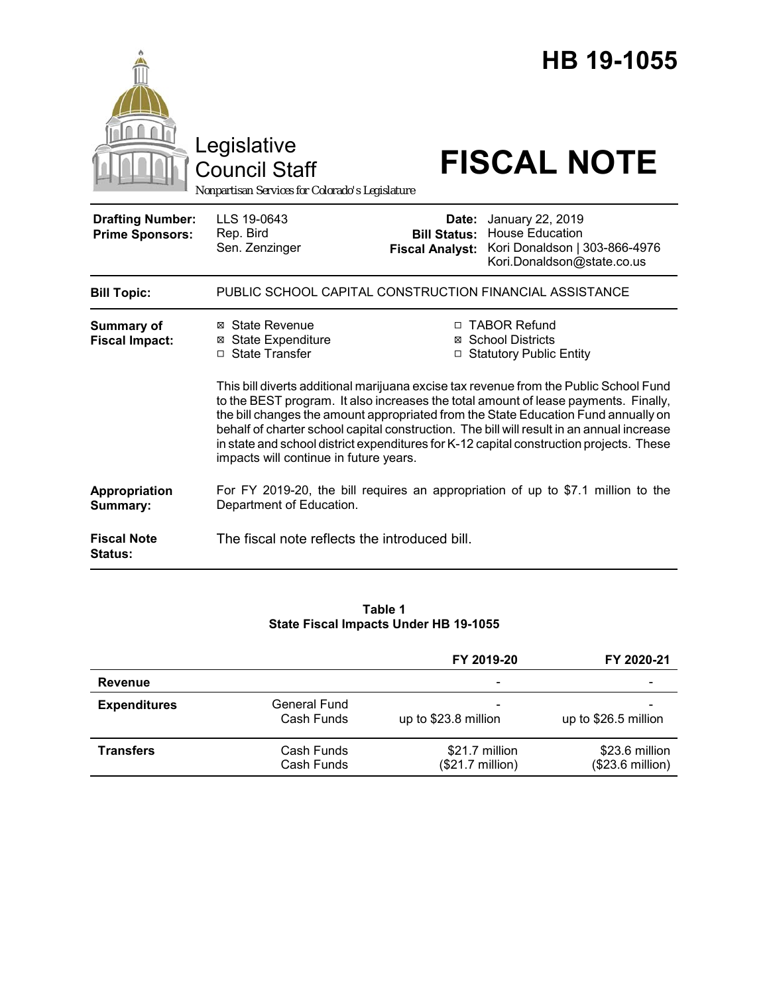|                                                   | Legislative<br><b>Council Staff</b><br>Nonpartisan Services for Colorado's Legislature                                                                                                                                                                                                                                                                                                                                                                                                                                                                                                                                                              | HB 19-1055<br><b>FISCAL NOTE</b>                                                                                                                          |  |  |
|---------------------------------------------------|-----------------------------------------------------------------------------------------------------------------------------------------------------------------------------------------------------------------------------------------------------------------------------------------------------------------------------------------------------------------------------------------------------------------------------------------------------------------------------------------------------------------------------------------------------------------------------------------------------------------------------------------------------|-----------------------------------------------------------------------------------------------------------------------------------------------------------|--|--|
| <b>Drafting Number:</b><br><b>Prime Sponsors:</b> | LLS 19-0643<br>Rep. Bird<br>Sen. Zenzinger                                                                                                                                                                                                                                                                                                                                                                                                                                                                                                                                                                                                          | January 22, 2019<br>Date:<br><b>Bill Status: House Education</b><br>Kori Donaldson   303-866-4976<br><b>Fiscal Analyst:</b><br>Kori.Donaldson@state.co.us |  |  |
| <b>Bill Topic:</b>                                |                                                                                                                                                                                                                                                                                                                                                                                                                                                                                                                                                                                                                                                     | PUBLIC SCHOOL CAPITAL CONSTRUCTION FINANCIAL ASSISTANCE                                                                                                   |  |  |
| <b>Summary of</b><br><b>Fiscal Impact:</b>        | ⊠ State Revenue<br>□ TABOR Refund<br><b>⊠ State Expenditure</b><br>⊠ School Districts<br>$\Box$ State Transfer<br>□ Statutory Public Entity<br>This bill diverts additional marijuana excise tax revenue from the Public School Fund<br>to the BEST program. It also increases the total amount of lease payments. Finally,<br>the bill changes the amount appropriated from the State Education Fund annually on<br>behalf of charter school capital construction. The bill will result in an annual increase<br>in state and school district expenditures for K-12 capital construction projects. These<br>impacts will continue in future years. |                                                                                                                                                           |  |  |
| Appropriation<br>Summary:                         | Department of Education.                                                                                                                                                                                                                                                                                                                                                                                                                                                                                                                                                                                                                            | For FY 2019-20, the bill requires an appropriation of up to \$7.1 million to the                                                                          |  |  |
| <b>Fiscal Note</b><br><b>Status:</b>              | The fiscal note reflects the introduced bill.                                                                                                                                                                                                                                                                                                                                                                                                                                                                                                                                                                                                       |                                                                                                                                                           |  |  |

## **Table 1 State Fiscal Impacts Under HB 19-1055**

|                     |                                   | FY 2019-20                         | FY 2020-21                         |
|---------------------|-----------------------------------|------------------------------------|------------------------------------|
| <b>Revenue</b>      |                                   | $\overline{\phantom{0}}$           | -                                  |
| <b>Expenditures</b> | <b>General Fund</b><br>Cash Funds | up to \$23.8 million               | up to \$26.5 million               |
| <b>Transfers</b>    | Cash Funds<br>Cash Funds          | \$21.7 million<br>(\$21.7 million) | \$23.6 million<br>(\$23.6 million) |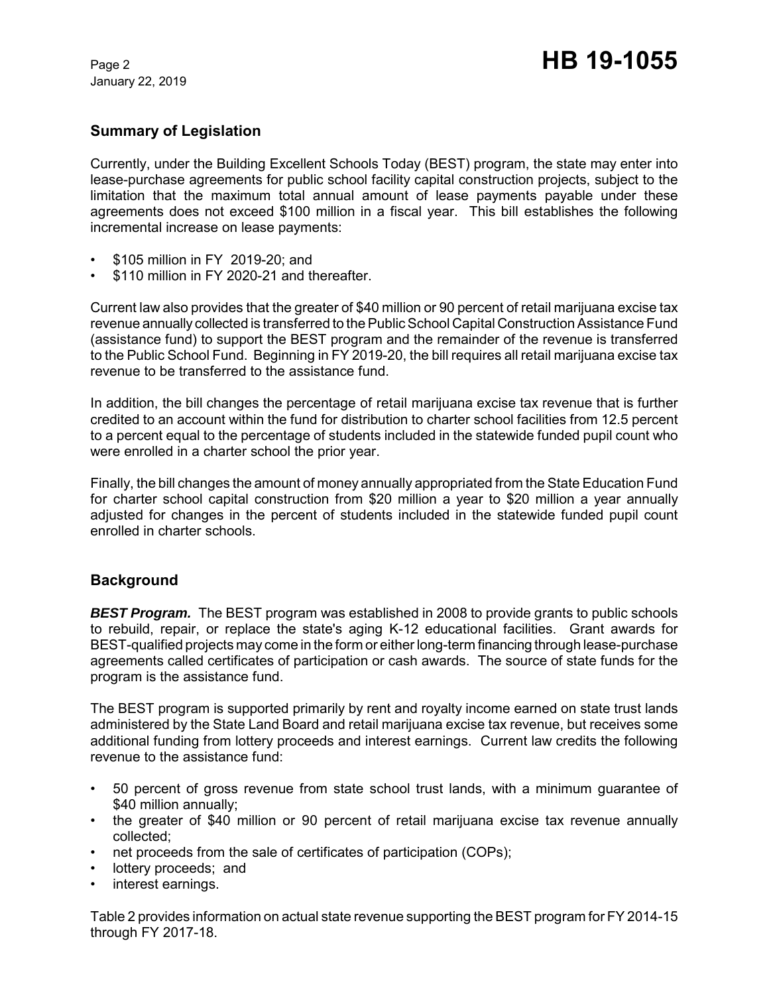January 22, 2019

# **Summary of Legislation**

Currently, under the Building Excellent Schools Today (BEST) program, the state may enter into lease-purchase agreements for public school facility capital construction projects, subject to the limitation that the maximum total annual amount of lease payments payable under these agreements does not exceed \$100 million in a fiscal year. This bill establishes the following incremental increase on lease payments:

- \$105 million in FY 2019-20; and
- \$110 million in FY 2020-21 and thereafter.

Current law also provides that the greater of \$40 million or 90 percent of retail marijuana excise tax revenue annually collected is transferred to the Public School Capital Construction Assistance Fund (assistance fund) to support the BEST program and the remainder of the revenue is transferred to the Public School Fund. Beginning in FY 2019-20, the bill requires all retail marijuana excise tax revenue to be transferred to the assistance fund.

In addition, the bill changes the percentage of retail marijuana excise tax revenue that is further credited to an account within the fund for distribution to charter school facilities from 12.5 percent to a percent equal to the percentage of students included in the statewide funded pupil count who were enrolled in a charter school the prior year.

Finally, the bill changes the amount of money annually appropriated from the State Education Fund for charter school capital construction from \$20 million a year to \$20 million a year annually adjusted for changes in the percent of students included in the statewide funded pupil count enrolled in charter schools.

# **Background**

*BEST Program.* The BEST program was established in 2008 to provide grants to public schools to rebuild, repair, or replace the state's aging K-12 educational facilities. Grant awards for BEST-qualified projects may come in the form or either long-term financing through lease-purchase agreements called certificates of participation or cash awards. The source of state funds for the program is the assistance fund.

The BEST program is supported primarily by rent and royalty income earned on state trust lands administered by the State Land Board and retail marijuana excise tax revenue, but receives some additional funding from lottery proceeds and interest earnings. Current law credits the following revenue to the assistance fund:

- 50 percent of gross revenue from state school trust lands, with a minimum guarantee of \$40 million annually:
- the greater of \$40 million or 90 percent of retail marijuana excise tax revenue annually collected;
- net proceeds from the sale of certificates of participation (COPs);
- lottery proceeds; and
- interest earnings.

Table 2 provides information on actual state revenue supporting the BEST program for FY 2014-15 through FY 2017-18.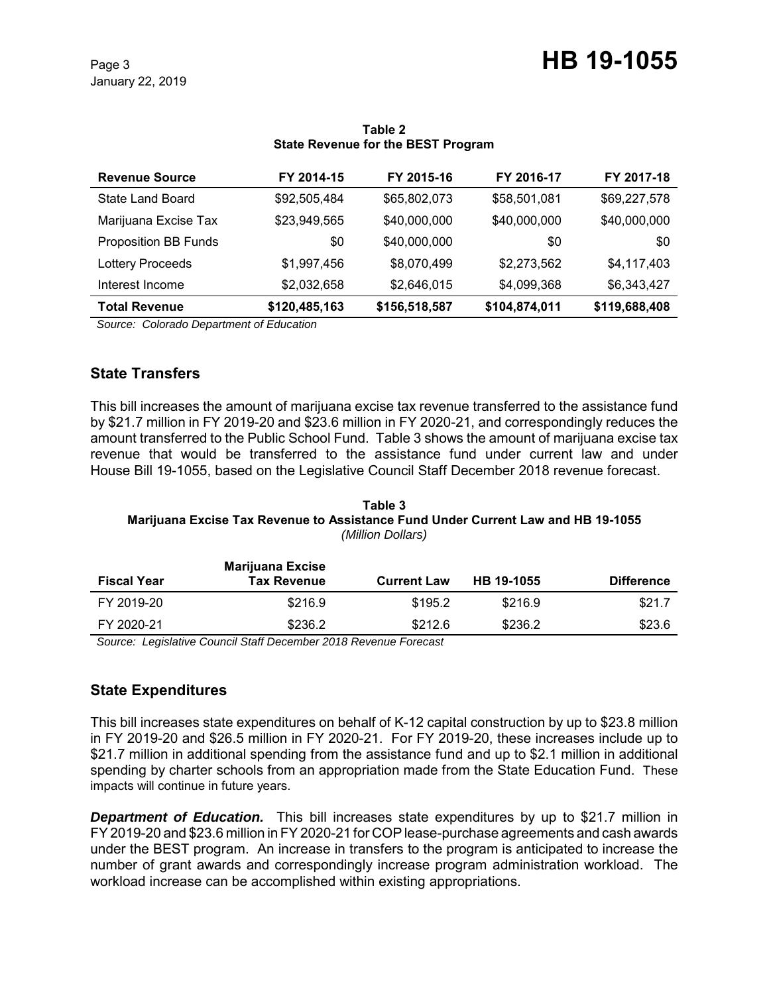| <b>Revenue Source</b>       | FY 2014-15    | FY 2015-16    | FY 2016-17    | FY 2017-18    |
|-----------------------------|---------------|---------------|---------------|---------------|
| State Land Board            | \$92,505,484  | \$65,802,073  | \$58,501,081  | \$69,227,578  |
| Marijuana Excise Tax        | \$23,949,565  | \$40,000,000  | \$40,000,000  | \$40,000,000  |
| <b>Proposition BB Funds</b> | \$0           | \$40,000,000  | \$0           | \$0           |
| <b>Lottery Proceeds</b>     | \$1,997,456   | \$8,070,499   | \$2,273,562   | \$4,117,403   |
| Interest Income             | \$2,032,658   | \$2,646,015   | \$4,099,368   | \$6,343,427   |
| <b>Total Revenue</b>        | \$120,485,163 | \$156,518,587 | \$104,874,011 | \$119,688,408 |

#### **Table 2 State Revenue for the BEST Program**

 *Source: Colorado Department of Education*

# **State Transfers**

This bill increases the amount of marijuana excise tax revenue transferred to the assistance fund by \$21.7 million in FY 2019-20 and \$23.6 million in FY 2020-21, and correspondingly reduces the amount transferred to the Public School Fund. Table 3 shows the amount of marijuana excise tax revenue that would be transferred to the assistance fund under current law and under House Bill 19-1055, based on the Legislative Council Staff December 2018 revenue forecast.

#### **Table 3 Marijuana Excise Tax Revenue to Assistance Fund Under Current Law and HB 19-1055** *(Million Dollars)*

| <b>Fiscal Year</b> | <b>Marijuana Excise</b><br><b>Tax Revenue</b> | <b>Current Law</b> | HB 19-1055 | <b>Difference</b> |
|--------------------|-----------------------------------------------|--------------------|------------|-------------------|
| FY 2019-20         | \$216.9                                       | \$195.2            | \$216.9    | \$21.7            |
| FY 2020-21         | \$236.2                                       | \$212.6            | \$236.2    | \$23.6            |

 *Source: Legislative Council Staff December 2018 Revenue Forecast*

# **State Expenditures**

This bill increases state expenditures on behalf of K-12 capital construction by up to \$23.8 million in FY 2019-20 and \$26.5 million in FY 2020-21. For FY 2019-20, these increases include up to \$21.7 million in additional spending from the assistance fund and up to \$2.1 million in additional spending by charter schools from an appropriation made from the State Education Fund. These impacts will continue in future years.

**Department of Education.** This bill increases state expenditures by up to \$21.7 million in FY 2019-20 and \$23.6 million in FY 2020-21 for COP lease-purchase agreements and cash awards under the BEST program. An increase in transfers to the program is anticipated to increase the number of grant awards and correspondingly increase program administration workload. The workload increase can be accomplished within existing appropriations.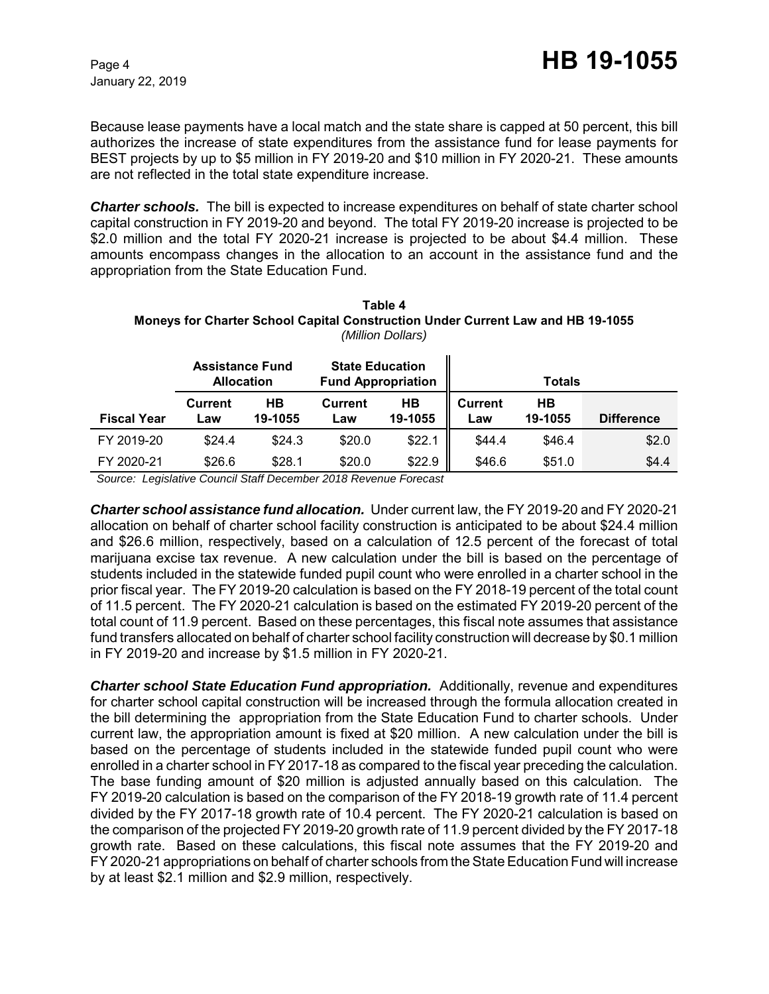Because lease payments have a local match and the state share is capped at 50 percent, this bill authorizes the increase of state expenditures from the assistance fund for lease payments for BEST projects by up to \$5 million in FY 2019-20 and \$10 million in FY 2020-21. These amounts are not reflected in the total state expenditure increase.

*Charter schools.* The bill is expected to increase expenditures on behalf of state charter school capital construction in FY 2019-20 and beyond. The total FY 2019-20 increase is projected to be \$2.0 million and the total FY 2020-21 increase is projected to be about \$4.4 million. These amounts encompass changes in the allocation to an account in the assistance fund and the appropriation from the State Education Fund.

| Table 4                                                                                |
|----------------------------------------------------------------------------------------|
| <b>Moneys for Charter School Capital Construction Under Current Law and HB 19-1055</b> |
| (Million Dollars)                                                                      |
|                                                                                        |

|                    | <b>Assistance Fund</b><br><b>Allocation</b> |               | <b>State Education</b><br><b>Fund Appropriation</b> |               |                       | <b>Totals</b> |                   |
|--------------------|---------------------------------------------|---------------|-----------------------------------------------------|---------------|-----------------------|---------------|-------------------|
| <b>Fiscal Year</b> | Current<br>Law                              | HB<br>19-1055 | <b>Current</b><br>Law                               | HВ<br>19-1055 | <b>Current</b><br>Law | HB<br>19-1055 | <b>Difference</b> |
| FY 2019-20         | \$24.4                                      | \$24.3        | \$20.0                                              | \$22.1        | \$44.4                | \$46.4        | \$2.0             |
| FY 2020-21         | \$26.6                                      | \$28.1        | \$20.0                                              | \$22.9        | \$46.6                | \$51.0        | \$4.4             |

 *Source: Legislative Council Staff December 2018 Revenue Forecast*

*Charter school assistance fund allocation.* Under current law, the FY 2019-20 and FY 2020-21 allocation on behalf of charter school facility construction is anticipated to be about \$24.4 million and \$26.6 million, respectively, based on a calculation of 12.5 percent of the forecast of total marijuana excise tax revenue. A new calculation under the bill is based on the percentage of students included in the statewide funded pupil count who were enrolled in a charter school in the prior fiscal year. The FY 2019-20 calculation is based on the FY 2018-19 percent of the total count of 11.5 percent. The FY 2020-21 calculation is based on the estimated FY 2019-20 percent of the total count of 11.9 percent. Based on these percentages, this fiscal note assumes that assistance fund transfers allocated on behalf of charter school facility construction will decrease by \$0.1 million in FY 2019-20 and increase by \$1.5 million in FY 2020-21.

*Charter school State Education Fund appropriation.* Additionally, revenue and expenditures for charter school capital construction will be increased through the formula allocation created in the bill determining the appropriation from the State Education Fund to charter schools. Under current law, the appropriation amount is fixed at \$20 million. A new calculation under the bill is based on the percentage of students included in the statewide funded pupil count who were enrolled in a charter school in FY 2017-18 as compared to the fiscal year preceding the calculation. The base funding amount of \$20 million is adjusted annually based on this calculation. The FY 2019-20 calculation is based on the comparison of the FY 2018-19 growth rate of 11.4 percent divided by the FY 2017-18 growth rate of 10.4 percent. The FY 2020-21 calculation is based on the comparison of the projected FY 2019-20 growth rate of 11.9 percent divided by the FY 2017-18 growth rate. Based on these calculations, this fiscal note assumes that the FY 2019-20 and FY 2020-21 appropriations on behalf of charter schools from the State Education Fund will increase by at least \$2.1 million and \$2.9 million, respectively.